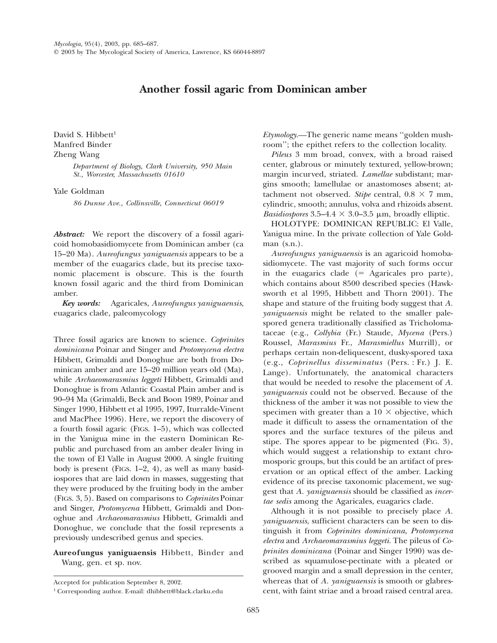## **Another fossil agaric from Dominican amber**

David S. Hibbett<sup>1</sup> Manfred Binder Zheng Wang

> *Department of Biology, Clark University, 950 Main St., Worcester, Massachusetts 01610*

Yale Goldman

*86 Dunne Ave., Collinsville, Connecticut 06019*

*Abstract:* We report the discovery of a fossil agaricoid homobasidiomycete from Dominican amber (ca 15–20 Ma). *Aureofungus yaniguaensis* appears to be a member of the euagarics clade, but its precise taxonomic placement is obscure. This is the fourth known fossil agaric and the third from Dominican amber.

*Key words:* Agaricales, *Aureofungus yaniguaensis*, euagarics clade, paleomycology

Three fossil agarics are known to science. *Coprinites dominicana* Poinar and Singer and *Protomycena electra* Hibbett, Grimaldi and Donoghue are both from Dominican amber and are 15–20 million years old (Ma), while *Archaeomarasmius leggeti* Hibbett, Grimaldi and Donoghue is from Atlantic Coastal Plain amber and is 90–94 Ma (Grimaldi, Beck and Boon 1989, Poinar and Singer 1990, Hibbett et al 1995, 1997, Iturralde-Vinent and MacPhee 1996). Here, we report the discovery of a fourth fossil agaric (FIGS. 1–5), which was collected in the Yanigua mine in the eastern Dominican Republic and purchased from an amber dealer living in the town of El Valle in August 2000. A single fruiting body is present (FIGS.  $1-2$ , 4), as well as many basidiospores that are laid down in masses, suggesting that they were produced by the fruiting body in the amber (FIGS. 3, 5). Based on comparisons to *Coprinites* Poinar and Singer, *Protomycena* Hibbett, Grimaldi and Donoghue and *Archaeomarasmius* Hibbett, Grimaldi and Donoghue, we conclude that the fossil represents a previously undescribed genus and species.

**Aureofungus yaniguaensis** Hibbett, Binder and Wang, gen. et sp. nov.

*Etymology.* The generic name means ''golden mushroom''; the epithet refers to the collection locality.

*Pileus* 3 mm broad, convex, with a broad raised center, glabrous or minutely textured, yellow-brown; margin incurved, striated. *Lamellae* subdistant; margins smooth; lamellulae or anastomoses absent; attachment not observed. *Stipe* central,  $0.8 \times 7$  mm, cylindric, smooth; annulus, volva and rhizoids absent. *Basidiospores* 3.5–4.4  $\times$  3.0–3.5  $\mu$ m, broadly elliptic.

HOLOTYPE: DOMINICAN REPUBLIC: El Valle, Yanigua mine. In the private collection of Yale Goldman (s.n.).

*Aureofungus yaniguaensis* is an agaricoid homobasidiomycete. The vast majority of such forms occur in the euagarics clade  $(=$  Agaricales pro parte), which contains about 8500 described species (Hawksworth et al 1995, Hibbett and Thorn 2001). The shape and stature of the fruiting body suggest that *A. yaniguaensis* might be related to the smaller palespored genera traditionally classified as Tricholomataceae (e.g., *Collybia* (Fr.) Staude, *Mycena* (Pers.) Roussel, *Marasmius* Fr., *Marasmiellus* Murrill), or perhaps certain non-deliquescent, dusky-spored taxa (e.g., *Coprinellus disseminatus* (Pers. : Fr.) J. E. Lange). Unfortunately, the anatomical characters that would be needed to resolve the placement of *A. yaniguaensis* could not be observed. Because of the thickness of the amber it was not possible to view the specimen with greater than a  $10 \times$  objective, which made it difficult to assess the ornamentation of the spores and the surface textures of the pileus and stipe. The spores appear to be pigmented (FIG. 3), which would suggest a relationship to extant chromosporic groups, but this could be an artifact of preservation or an optical effect of the amber. Lacking evidence of its precise taxonomic placement, we suggest that *A. yaniguaensis* should be classified as *incertae sedis* among the Agaricales, euagarics clade.

Although it is not possible to precisely place *A. yaniguaensis*, sufficient characters can be seen to distinguish it from *Coprinites dominicana*, *Protomycena electra* and *Archaeomarasmius leggeti*. The pileus of *Coprinites dominicana* (Poinar and Singer 1990) was described as squamulose-pectinate with a pleated or grooved margin and a small depression in the center, whereas that of *A. yaniguaensis* is smooth or glabrescent, with faint striae and a broad raised central area.

Accepted for publication September 8, 2002.

<sup>1</sup> Corresponding author. E-mail: dhibbett@black.clarku.edu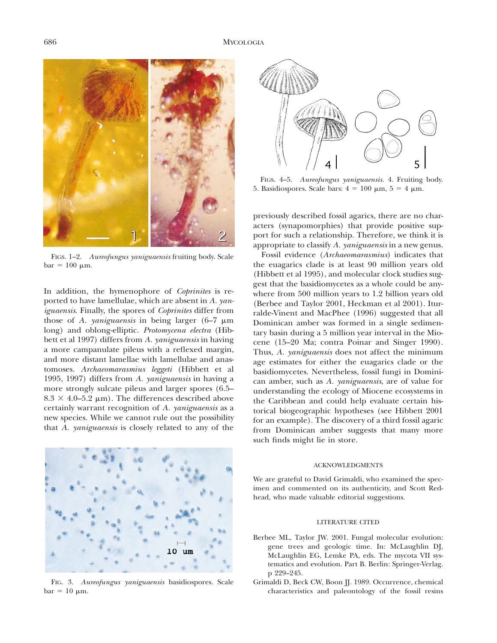

FIGS. 1–2. *Aureofungus yaniguaensis* fruiting body. Scale  $bar = 100 \mu m$ .

In addition, the hymenophore of *Coprinites* is reported to have lamellulae, which are absent in *A. yaniguaensis*. Finally, the spores of *Coprinites* differ from those of *A. yaniguaensis* in being larger  $(6-7 \mu m)$ long) and oblong-elliptic. *Protomycena electra* (Hibbett et al 1997) differs from *A. yaniguaensis* in having a more campanulate pileus with a reflexed margin, and more distant lamellae with lamellulae and anastomoses. *Archaeomarasmius leggeti* (Hibbett et al 1995, 1997) differs from *A. yaniguaensis* in having a more strongly sulcate pileus and larger spores (6.5–  $8.3 \times 4.0$ –5.2  $\mu$ m). The differences described above certainly warrant recognition of *A. yaniguaensis* as a new species. While we cannot rule out the possibility that *A. yaniguaensis* is closely related to any of the



FIG. 3. *Aureofungus yaniguaensis* basidiospores. Scale  $bar = 10 \mu m$ .



FIGS. 4–5. *Aureofungus yaniguaensis.* 4. Fruiting body. 5. Basidiospores. Scale bars:  $4 = 100 \mu m$ ,  $5 = 4 \mu m$ .

previously described fossil agarics, there are no characters (synapomorphies) that provide positive support for such a relationship. Therefore, we think it is appropriate to classify *A. yaniguaensis* in a new genus.

Fossil evidence (*Archaeomarasmius*) indicates that the euagarics clade is at least 90 million years old (Hibbett et al 1995), and molecular clock studies suggest that the basidiomycetes as a whole could be anywhere from 500 million years to 1.2 billion years old (Berbee and Taylor 2001, Heckman et al 2001). Iturralde-Vinent and MacPhee (1996) suggested that all Dominican amber was formed in a single sedimentary basin during a 5 million year interval in the Miocene (15–20 Ma; contra Poinar and Singer 1990). Thus, *A. yaniguaensis* does not affect the minimum age estimates for either the euagarics clade or the basidiomycetes. Nevertheless, fossil fungi in Dominican amber, such as *A. yaniguaensis*, are of value for understanding the ecology of Miocene ecosystems in the Caribbean and could help evaluate certain historical biogeographic hypotheses (see Hibbett 2001 for an example). The discovery of a third fossil agaric from Dominican amber suggests that many more such finds might lie in store.

## ACKNOWLEDGMENTS

We are grateful to David Grimaldi, who examined the specimen and commented on its authenticity, and Scott Redhead, who made valuable editorial suggestions.

## LITERATURE CITED

- Berbee ML, Taylor JW. 2001. Fungal molecular evolution: gene trees and geologic time. In: McLaughlin DJ, McLaughlin EG, Lemke PA, eds. The mycota VII systematics and evolution. Part B. Berlin: Springer-Verlag. p 229–245.
- Grimaldi D, Beck CW, Boon JJ. 1989. Occurrence, chemical characteristics and paleontology of the fossil resins